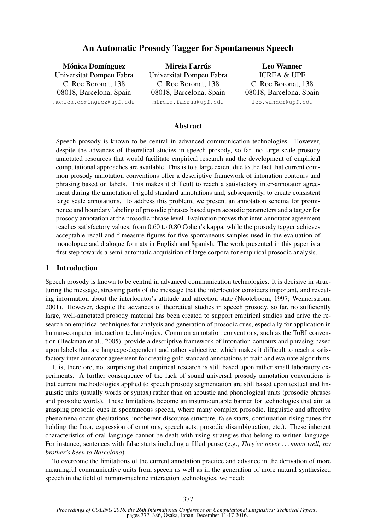# An Automatic Prosody Tagger for Spontaneous Speech

Mónica Domínguez Universitat Pompeu Fabra C. Roc Boronat, 138 08018, Barcelona, Spain monica.dominguez@upf.edu Mireia Farrús Universitat Pompeu Fabra C. Roc Boronat, 138 08018, Barcelona, Spain mireia.farrus@upf.edu Leo Wanner ICREA & UPF C. Roc Boronat, 138 08018, Barcelona, Spain leo.wanner@upf.edu

#### **Abstract**

Speech prosody is known to be central in advanced communication technologies. However, despite the advances of theoretical studies in speech prosody, so far, no large scale prosody annotated resources that would facilitate empirical research and the development of empirical computational approaches are available. This is to a large extent due to the fact that current common prosody annotation conventions offer a descriptive framework of intonation contours and phrasing based on labels. This makes it difficult to reach a satisfactory inter-annotator agreement during the annotation of gold standard annotations and, subsequently, to create consistent large scale annotations. To address this problem, we present an annotation schema for prominence and boundary labeling of prosodic phrases based upon acoustic parameters and a tagger for prosody annotation at the prosodic phrase level. Evaluation proves that inter-annotator agreement reaches satisfactory values, from 0.60 to 0.80 Cohen's kappa, while the prosody tagger achieves acceptable recall and f-measure figures for five spontaneous samples used in the evaluation of monologue and dialogue formats in English and Spanish. The work presented in this paper is a first step towards a semi-automatic acquisition of large corpora for empirical prosodic analysis.

### 1 Introduction

Speech prosody is known to be central in advanced communication technologies. It is decisive in structuring the message, stressing parts of the message that the interlocutor considers important, and revealing information about the interlocutor's attitude and affection state (Nooteboom, 1997; Wennerstrom, 2001). However, despite the advances of theoretical studies in speech prosody, so far, no sufficiently large, well-annotated prosody material has been created to support empirical studies and drive the research on empirical techniques for analysis and generation of prosodic cues, especially for application in human-computer interaction technologies. Common annotation conventions, such as the ToBI convention (Beckman et al., 2005), provide a descriptive framework of intonation contours and phrasing based upon labels that are language-dependent and rather subjective, which makes it difficult to reach a satisfactory inter-annotator agreement for creating gold standard annotations to train and evaluate algorithms.

It is, therefore, not surprising that empirical research is still based upon rather small laboratory experiments. A further consequence of the lack of sound universal prosody annotation conventions is that current methodologies applied to speech prosody segmentation are still based upon textual and linguistic units (usually words or syntax) rather than on acoustic and phonological units (prosodic phrases and prosodic words). These limitations become an insurmountable barrier for technologies that aim at grasping prosodic cues in spontaneous speech, where many complex prosodic, linguistic and affective phenomena occur (hesitations, incoherent discourse structure, false starts, continuation rising tunes for holding the floor, expression of emotions, speech acts, prosodic disambiguation, etc.). These inherent characteristics of oral language cannot be dealt with using strategies that belong to written language. For instance, sentences with false starts including a filled pause (e.g., *They've never . . . mmm well, my brother's been to Barcelona*).

To overcome the limitations of the current annotation practice and advance in the derivation of more meaningful communicative units from speech as well as in the generation of more natural synthesized speech in the field of human-machine interaction technologies, we need: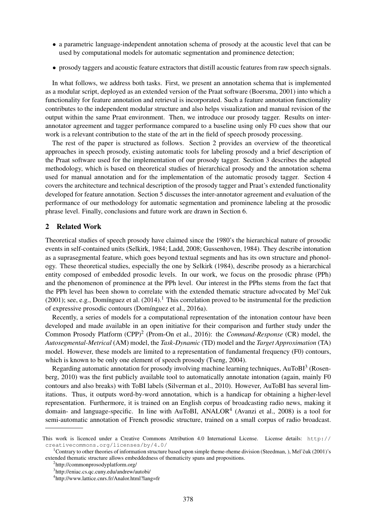- a parametric language-independent annotation schema of prosody at the acoustic level that can be used by computational models for automatic segmentation and prominence detection;
- prosody taggers and acoustic feature extractors that distill acoustic features from raw speech signals.

In what follows, we address both tasks. First, we present an annotation schema that is implemented as a modular script, deployed as an extended version of the Praat software (Boersma, 2001) into which a functionality for feature annotation and retrieval is incorporated. Such a feature annotation functionality contributes to the independent modular structure and also helps visualization and manual revision of the output within the same Praat environment. Then, we introduce our prosody tagger. Results on interannotator agreement and tagger performance compared to a baseline using only F0 cues show that our work is a relevant contribution to the state of the art in the field of speech prosody processing.

The rest of the paper is structured as follows. Section 2 provides an overview of the theoretical approaches in speech prosody, existing automatic tools for labeling prosody and a brief description of the Praat software used for the implementation of our prosody tagger. Section 3 describes the adapted methodology, which is based on theoretical studies of hierarchical prosody and the annotation schema used for manual annotation and for the implementation of the automatic prosody tagger. Section 4 covers the architecture and technical description of the prosody tagger and Praat's extended functionality developed for feature annotation. Section 5 discusses the inter-annotator agreement and evaluation of the performance of our methodology for automatic segmentation and prominence labeling at the prosodic phrase level. Finally, conclusions and future work are drawn in Section 6.

## 2 Related Work

Theoretical studies of speech prosody have claimed since the 1980's the hierarchical nature of prosodic events in self-contained units (Selkirk, 1984; Ladd, 2008; Gussenhoven, 1984). They describe intonation as a suprasegmental feature, which goes beyond textual segments and has its own structure and phonology. These theoretical studies, especially the one by Selkirk (1984), describe prosody as a hierarchical entity composed of embedded prosodic levels. In our work, we focus on the prosodic phrase (PPh) and the phenomenon of prominence at the PPh level. Our interest in the PPhs stems from the fact that the PPh level has been shown to correlate with the extended thematic structure advocated by Mel'čuk (2001); see, e.g., Domínguez et al. (2014).<sup>1</sup> This correlation proved to be instrumental for the prediction of expressive prosodic contours (Domínguez et al., 2016a).

Recently, a series of models for a computational representation of the intonation contour have been developed and made available in an open initiative for their comparison and further study under the Common Prosody Platform (CPP)<sup>2</sup> (Prom-On et al., 2016): the *Command-Response* (CR) model, the *Autosegmental-Metrical* (AM) model, the *Task-Dynamic* (TD) model and the *Target Approximation* (TA) model. However, these models are limited to a representation of fundamental frequency (F0) contours, which is known to be only one element of speech prosody (Tseng, 2004).

Regarding automatic annotation for prosody involving machine learning techniques,  $AuToBI<sup>3</sup>$  (Rosenberg, 2010) was the first publicly available tool to automatically annotate intonation (again, mainly F0 contours and also breaks) with ToBI labels (Silverman et al., 2010). However, AuToBI has several limitations. Thus, it outputs word-by-word annotation, which is a handicap for obtaining a higher-level representation. Furthermore, it is trained on an English corpus of broadcasting radio news, making it domain- and language-specific. In line with AuToBI, ANALOR<sup>4</sup> (Avanzi et al., 2008) is a tool for semi-automatic annotation of French prosodic structure, trained on a small corpus of radio broadcast.

This work is licenced under a Creative Commons Attribution 4.0 International License. License details: http:// creativecommons.org/licenses/by/4.0/

<sup>&</sup>lt;sup>1</sup>Contrary to other theories of information structure based upon simple theme-rheme division (Steedman, ), Mel'čuk (2001)'s extended thematic structure allows embeddedness of thematicity spans and propositions.

<sup>2</sup> http://commonprosodyplatform.org/

<sup>3</sup> http://eniac.cs.qc.cuny.edu/andrew/autobi/

<sup>4</sup> http://www.lattice.cnrs.fr/Analor.html?lang=fr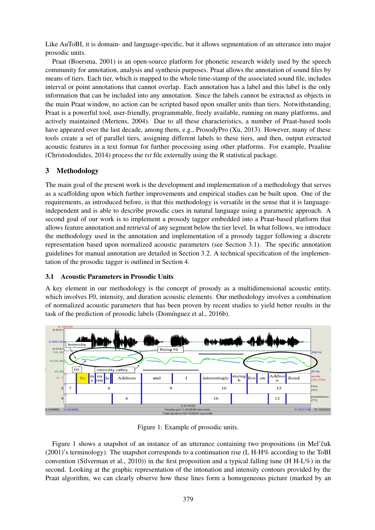Like AuToBI, it is domain- and language-specific, but it allows segmentation of an utterance into major prosodic units.

Praat (Boersma, 2001) is an open-source platform for phonetic research widely used by the speech community for annotation, analysis and synthesis purposes. Praat allows the annotation of sound files by means of tiers. Each tier, which is mapped to the whole time-stamp of the associated sound file, includes interval or point annotations that cannot overlap. Each annotation has a label and this label is the only information that can be included into any annotation. Since the labels cannot be extracted as objects in the main Praat window, no action can be scripted based upon smaller units than tiers. Notwithstanding, Praat is a powerful tool, user-friendly, programmable, freely available, running on many platforms, and actively maintained (Mertens, 2004). Due to all these characteristics, a number of Praat-based tools have appeared over the last decade, among them, e.g., ProsodyPro (Xu, 2013). However, many of these tools create a set of parallel tiers, assigning different labels to these tiers, and then, output extracted acoustic features in a text format for further processing using other platforms. For example, Praaline (Christodoulides, 2014) process the *txt* file externally using the R statistical package.

# 3 Methodology

The main goal of the present work is the development and implementation of a methodology that serves as a scaffolding upon which further improvements and empirical studies can be built upon. One of the requirements, as introduced before, is that this methodology is versatile in the sense that it is languageindependent and is able to describe prosodic cues in natural language using a parametric approach. A second goal of our work is to implement a prosody tagger embedded into a Praat-based platform that allows feature annotation and retrieval of any segment below the tier level. In what follows, we introduce the methodology used in the annotation and implementation of a prosody tagger following a discrete representation based upon normalized acoustic parameters (see Section 3.1). The specific annotation guidelines for manual annotation are detailed in Section 3.2. A technical specification of the implementation of the prosodic tagger is outlined in Section 4.

# 3.1 Acoustic Parameters in Prosodic Units

A key element in our methodology is the concept of prosody as a multidimensional acoustic entity, which involves F0, intensity, and duration acoustic elements. Our methodology involves a combination of normalized acoustic parameters that has been proven by recent studies to yield better results in the task of the prediction of prosodic labels (Domínguez et al., 2016b).



Figure 1: Example of prosodic units.

Figure 1 shows a snapshot of an instance of an utterance containing two propositions (in Mel'cuk (2001)'s terminology). The snapshot corresponds to a continuation rise (L H-H% according to the ToBI convention (Silverman et al., 2010)) in the first proposition and a typical falling tune (H H-L%) in the second. Looking at the graphic representation of the intonation and intensity contours provided by the Praat algorithm, we can clearly observe how these lines form a homogeneous picture (marked by an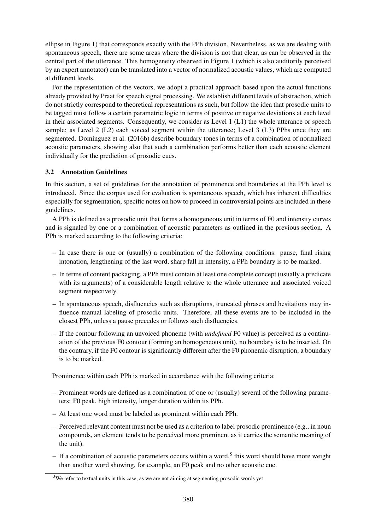ellipse in Figure 1) that corresponds exactly with the PPh division. Nevertheless, as we are dealing with spontaneous speech, there are some areas where the division is not that clear, as can be observed in the central part of the utterance. This homogeneity observed in Figure 1 (which is also auditorily perceived by an expert annotator) can be translated into a vector of normalized acoustic values, which are computed at different levels.

For the representation of the vectors, we adopt a practical approach based upon the actual functions already provided by Praat for speech signal processing. We establish different levels of abstraction, which do not strictly correspond to theoretical representations as such, but follow the idea that prosodic units to be tagged must follow a certain parametric logic in terms of positive or negative deviations at each level in their associated segments. Consequently, we consider as Level 1 (L1) the whole utterance or speech sample; as Level 2 (L2) each voiced segment within the utterance; Level 3 (L3) PPhs once they are segmented. Domínguez et al. (2016b) describe boundary tones in terms of a combination of normalized acoustic parameters, showing also that such a combination performs better than each acoustic element individually for the prediction of prosodic cues.

## 3.2 Annotation Guidelines

In this section, a set of guidelines for the annotation of prominence and boundaries at the PPh level is introduced. Since the corpus used for evaluation is spontaneous speech, which has inherent difficulties especially for segmentation, specific notes on how to proceed in controversial points are included in these guidelines.

A PPh is defined as a prosodic unit that forms a homogeneous unit in terms of F0 and intensity curves and is signaled by one or a combination of acoustic parameters as outlined in the previous section. A PPh is marked according to the following criteria:

- In case there is one or (usually) a combination of the following conditions: pause, final rising intonation, lengthening of the last word, sharp fall in intensity, a PPh boundary is to be marked.
- In terms of content packaging, a PPh must contain at least one complete concept (usually a predicate with its arguments) of a considerable length relative to the whole utterance and associated voiced segment respectively.
- In spontaneous speech, disfluencies such as disruptions, truncated phrases and hesitations may influence manual labeling of prosodic units. Therefore, all these events are to be included in the closest PPh, unless a pause precedes or follows such disfluencies.
- If the contour following an unvoiced phoneme (with *undefined* F0 value) is perceived as a continuation of the previous F0 contour (forming an homogeneous unit), no boundary is to be inserted. On the contrary, if the F0 contour is significantly different after the F0 phonemic disruption, a boundary is to be marked.

Prominence within each PPh is marked in accordance with the following criteria:

- Prominent words are defined as a combination of one or (usually) several of the following parameters: F0 peak, high intensity, longer duration within its PPh.
- At least one word must be labeled as prominent within each PPh.
- Perceived relevant content must not be used as a criterion to label prosodic prominence (e.g., in noun compounds, an element tends to be perceived more prominent as it carries the semantic meaning of the unit).
- $-$  If a combination of acoustic parameters occurs within a word,<sup>5</sup> this word should have more weight than another word showing, for example, an F0 peak and no other acoustic cue.

<sup>&</sup>lt;sup>5</sup>We refer to textual units in this case, as we are not aiming at segmenting prosodic words yet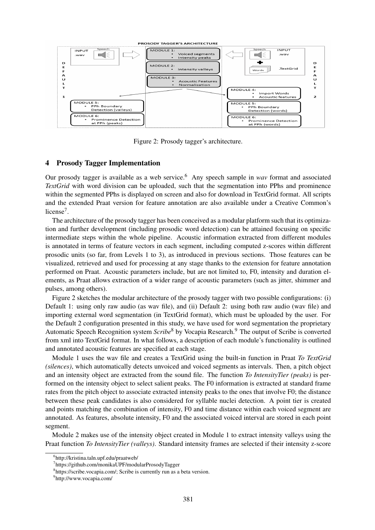

Figure 2: Prosody tagger's architecture.

## 4 Prosody Tagger Implementation

Our prosody tagger is available as a web service.<sup>6</sup> Any speech sample in *wav* format and associated *TextGrid* with word division can be uploaded, such that the segmentation into PPhs and prominence within the segmented PPhs is displayed on screen and also for download in TextGrid format. All scripts and the extended Praat version for feature annotation are also available under a Creative Common's license<sup>7</sup>.

The architecture of the prosody tagger has been conceived as a modular platform such that its optimization and further development (including prosodic word detection) can be attained focusing on specific intermediate steps within the whole pipeline. Acoustic information extracted from different modules is annotated in terms of feature vectors in each segment, including computed z-scores within different prosodic units (so far, from Levels 1 to 3), as introduced in previous sections. Those features can be visualized, retrieved and used for processing at any stage thanks to the extension for feature annotation performed on Praat. Acoustic parameters include, but are not limited to, F0, intensity and duration elements, as Praat allows extraction of a wider range of acoustic parameters (such as jitter, shimmer and pulses, among others).

Figure 2 sketches the modular architecture of the prosody tagger with two possible configurations: (i) Default 1: using only raw audio (as wav file), and (ii) Default 2: using both raw audio (wav file) and importing external word segmentation (in TextGrid format), which must be uploaded by the user. For the Default 2 configuration presented in this study, we have used for word segmentation the proprietary Automatic Speech Recognition system *Scribe*<sup>8</sup> by Vocapia Research.<sup>9</sup> The output of Scribe is converted from xml into TextGrid format. In what follows, a description of each module's functionality is outlined and annotated acoustic features are specified at each stage.

Module 1 uses the wav file and creates a TextGrid using the built-in function in Praat *To TextGrid (silences)*, which automatically detects unvoiced and voiced segments as intervals. Then, a pitch object and an intensity object are extracted from the sound file. The function *To IntensityTier (peaks)* is performed on the intensity object to select salient peaks. The F0 information is extracted at standard frame rates from the pitch object to associate extracted intensity peaks to the ones that involve F0; the distance between these peak candidates is also considered for syllable nuclei detection. A point tier is created and points matching the combination of intensity, F0 and time distance within each voiced segment are annotated. As features, absolute intensity, F0 and the associated voiced interval are stored in each point segment.

Module 2 makes use of the intensity object created in Module 1 to extract intensity valleys using the Praat function *To IntensityTier (valleys)*. Standard intensity frames are selected if their intensity z-score

<sup>6</sup> http://kristina.taln.upf.edu/praatweb/

<sup>7</sup> https://github.com/monikaUPF/modularProsodyTagger

<sup>8</sup> https://scribe.vocapia.com/; Scribe is currently run as a beta version.

<sup>&</sup>lt;sup>9</sup>http://www.vocapia.com/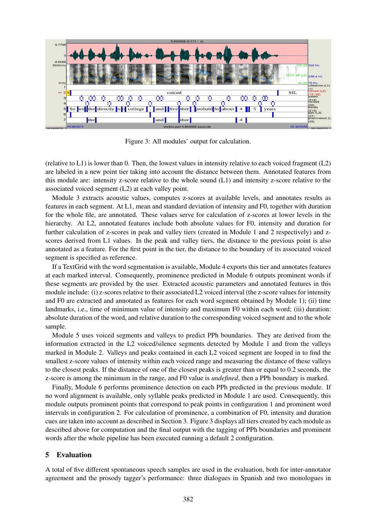

Figure 3: All modules' output for calculation.

(relative to L1) is lower than 0. Then, the lowest values in intensity relative to each voiced fragment (L2) are labeled in a new point tier taking into account the distance between them. Annotated features from this module are: intensity z-score relative to the whole sound (L1) and intensity z-score relative to the associated voiced segment (L2) at each valley point.

Module 3 extracts acoustic values, computes z-scores at available levels, and annotates results as features in each segment. At L1, mean and standard deviation of intensity and F0, together with duration for the whole file, are annotated. These values serve for calculation of z-scores at lower levels in the hierarchy. At L2, annotated features include both absolute values for F0, intensity and duration for further calculation of z-scores in peak and valley tiers (created in Module 1 and 2 respectively) and zscores derived from L1 values. In the peak and valley tiers, the distance to the previous point is also annotated as a feature. For the first point in the tier, the distance to the boundary of its associated voiced segment is specified as reference.

If a TextGrid with the word segmentation is available, Module 4 exports this tier and annotates features at each marked interval. Consequently, prominence predicted in Module 6 outputs prominent words if these segments are provided by the user. Extracted acoustic parameters and annotated features in this module include: (i) z-scores relative to their associated L2 voiced interval (the z-score values for intensity and F0 are extracted and annotated as features for each word segment obtained by Module 1); (ii) time landmarks, i.e., time of minimum value of intensity and maximum F0 within each word; (iii) duration: absolute duration of the word, and relative duration to the corresponding voiced segment and to the whole sample.

Module 5 uses voiced segments and valleys to predict PPh boundaries. They are derived from the information extracted in the L2 voiced/silence segments detected by Module 1 and from the valleys marked in Module 2. Valleys and peaks contained in each L2 voiced segment are looped in to find the smallest z-score values of intensity within each voiced range and measuring the distance of these valleys to the closest peaks. If the distance of one of the closest peaks is greater than or equal to 0.2 seconds, the z-score is among the minimum in the range, and F0 value is *undefined*, then a PPh boundary is marked.

Finally, Module 6 performs prominence detection on each PPh predicted in the previous module. If no word alignment is available, only syllable peaks predicted in Module 1 are used. Consequently, this module outputs prominent points that correspond to peak points in configuration 1 and prominent word intervals in configuration 2. For calculation of prominence, a combination of F0, intensity and duration cues are taken into account as described in Section 3. Figure 3 displays all tiers created by each module as described above for computation and the final output with the tagging of PPh boundaries and prominent words after the whole pipeline has been executed running a default 2 configuration.

## 5 Evaluation

A total of five different spontaneous speech samples are used in the evaluation, both for inter-annotator agreement and the prosody tagger's performance: three dialogues in Spanish and two monologues in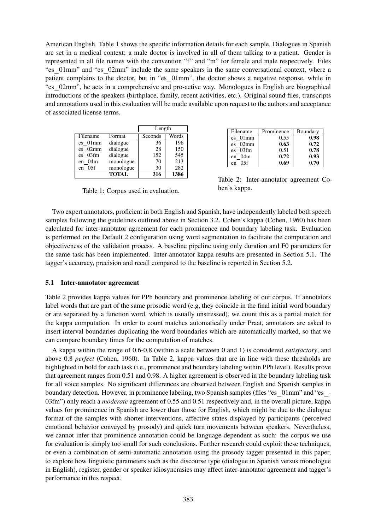American English. Table 1 shows the specific information details for each sample. Dialogues in Spanish are set in a medical context; a male doctor is involved in all of them talking to a patient. Gender is represented in all file names with the convention "f" and "m" for female and male respectively. Files "es 01mm" and "es 02mm" include the same speakers in the same conversational context, where a patient complains to the doctor, but in "es\_01mm", the doctor shows a negative response, while in "es 02mm", he acts in a comprehensive and pro-active way. Monologues in English are biographical introductions of the speakers (birthplace, family, recent activities, etc.). Original sound files, transcripts and annotations used in this evaluation will be made available upon request to the authors and acceptance of associated license terms.

|          |              | Length  |       |  |
|----------|--------------|---------|-------|--|
| Filename | Format       | Seconds | Words |  |
| es 01mm  | dialogue     | 36      | 196   |  |
| es 02mm  | dialogue     | 28      | 150   |  |
| es 03fm  | dialogue     | 152     | 545   |  |
| en 04m   | monologue    | 70      | 213   |  |
| en 05f   | monologue    | 30      | 282   |  |
|          | <b>TOTAL</b> | 316     | 1386  |  |

Table 1: Corpus used in evaluation.

| Filename    | Prominence | Boundary |
|-------------|------------|----------|
| es 01mm     | 0.55       | 0.98     |
| es 02mm     | 0.63       | 0.72     |
| es 03fm     | 0.51       | 0.78     |
| $en$ 04 $m$ | 0.72       | 0.93     |
| 05f<br>en.  | 0.69       | 0.70     |

Table 2: Inter-annotator agreement Cohen's kappa.

Two expert annotators, proficient in both English and Spanish, have independently labeled both speech samples following the guidelines outlined above in Section 3.2. Cohen's kappa (Cohen, 1960) has been calculated for inter-annotator agreement for each prominence and boundary labeling task. Evaluation is performed on the Default 2 configuration using word segmentation to facilitate the computation and objectiveness of the validation process. A baseline pipeline using only duration and F0 parameters for the same task has been implemented. Inter-annotator kappa results are presented in Section 5.1. The tagger's accuracy, precision and recall compared to the baseline is reported in Section 5.2.

### 5.1 Inter-annotator agreement

Table 2 provides kappa values for PPh boundary and prominence labeling of our corpus. If annotators label words that are part of the same prosodic word (e.g, they coincide in the final initial word boundary or are separated by a function word, which is usually unstressed), we count this as a partial match for the kappa computation. In order to count matches automatically under Praat, annotators are asked to insert interval boundaries duplicating the word boundaries which are automatically marked, so that we can compare boundary times for the computation of matches.

A kappa within the range of 0.6-0.8 (within a scale between 0 and 1) is considered *satisfactory*, and above 0.8 *perfect* (Cohen, 1960). In Table 2, kappa values that are in line with these thresholds are highlighted in bold for each task (i.e., prominence and boundary labeling within PPh level). Results prove that agreement ranges from 0.51 and 0.98. A higher agreement is observed in the boundary labeling task for all voice samples. No significant differences are observed between English and Spanish samples in boundary detection. However, in prominence labeling, two Spanish samples (files "es 01mm" and "es - 03fm") only reach a *moderate* agreement of 0.55 and 0.51 respectively and, in the overall picture, kappa values for prominence in Spanish are lower than those for English, which might be due to the dialogue format of the samples with shorter interventions, affective states displayed by participants (perceived emotional behavior conveyed by prosody) and quick turn movements between speakers. Nevertheless, we cannot infer that prominence annotation could be language-dependent as such: the corpus we use for evaluation is simply too small for such conclusions. Further research could exploit these techniques, or even a combination of semi-automatic annotation using the prosody tagger presented in this paper, to explore how linguistic parameters such as the discourse type (dialogue in Spanish versus monologue in English), register, gender or speaker idiosyncrasies may affect inter-annotator agreement and tagger's performance in this respect.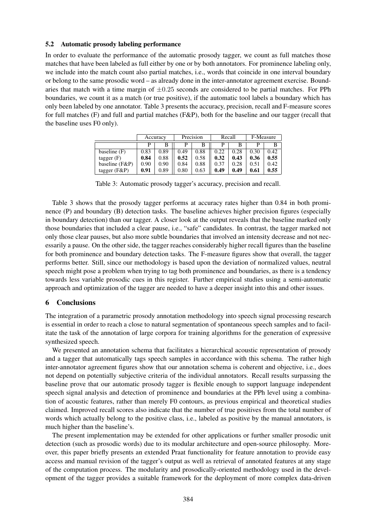#### 5.2 Automatic prosody labeling performance

In order to evaluate the performance of the automatic prosody tagger, we count as full matches those matches that have been labeled as full either by one or by both annotators. For prominence labeling only, we include into the match count also partial matches, i.e., words that coincide in one interval boundary or belong to the same prosodic word – as already done in the inter-annotator agreement exercise. Boundaries that match with a time margin of  $\pm 0.25$  seconds are considered to be partial matches. For PPh boundaries, we count it as a match (or true positive), if the automatic tool labels a boundary which has only been labeled by one annotator. Table 3 presents the accuracy, precision, recall and F-measure scores for full matches (F) and full and partial matches (F&P), both for the baseline and our tagger (recall that the baseline uses F0 only).

|                 | Accuracy |      | Precision |      | Recall |      | F-Measure |      |
|-----------------|----------|------|-----------|------|--------|------|-----------|------|
|                 |          | В    |           |      |        |      |           | В    |
| baseline $(F)$  | 0.83     | 0.89 | 0.49      | 0.88 | 0.22   | 0.28 | 0.30      | 0.42 |
| tagger $(F)$    | 0.84     | 0.88 | 0.52      | 0.58 | 0.32   | 0.43 | 0.36      | 0.55 |
| baseline (F&P)  | 0.90     | 0.90 | 0.84      | 0.88 | 0.37   | 0.28 | 0.51      | 0.42 |
| tagger $(F\&P)$ | 0.91     | 0.89 | 0.80      | 0.63 | 0.49   | 0.49 | 0.61      | 0.55 |

Table 3: Automatic prosody tagger's accuracy, precision and recall.

Table 3 shows that the prosody tagger performs at accuracy rates higher than 0.84 in both prominence (P) and boundary (B) detection tasks. The baseline achieves higher precision figures (especially in boundary detection) than our tagger. A closer look at the output reveals that the baseline marked only those boundaries that included a clear pause, i.e., "safe" candidates. In contrast, the tagger marked not only those clear pauses, but also more subtle boundaries that involved an intensity decrease and not necessarily a pause. On the other side, the tagger reaches considerably higher recall figures than the baseline for both prominence and boundary detection tasks. The F-measure figures show that overall, the tagger performs better. Still, since our methodology is based upon the deviation of normalized values, neutral speech might pose a problem when trying to tag both prominence and boundaries, as there is a tendency towards less variable prosodic cues in this register. Further empirical studies using a semi-automatic approach and optimization of the tagger are needed to have a deeper insight into this and other issues.

## 6 Conclusions

The integration of a parametric prosody annotation methodology into speech signal processing research is essential in order to reach a close to natural segmentation of spontaneous speech samples and to facilitate the task of the annotation of large corpora for training algorithms for the generation of expressive synthesized speech.

We presented an annotation schema that facilitates a hierarchical acoustic representation of prosody and a tagger that automatically tags speech samples in accordance with this schema. The rather high inter-annotator agreement figures show that our annotation schema is coherent and objective, i.e., does not depend on potentially subjective criteria of the individual annotators. Recall results surpassing the baseline prove that our automatic prosody tagger is flexible enough to support language independent speech signal analysis and detection of prominence and boundaries at the PPh level using a combination of acoustic features, rather than merely F0 contours, as previous empirical and theoretical studies claimed. Improved recall scores also indicate that the number of true positives from the total number of words which actually belong to the positive class, i.e., labeled as positive by the manual annotators, is much higher than the baseline's.

The present implementation may be extended for other applications or further smaller prosodic unit detection (such as prosodic words) due to its modular architecture and open-source philosophy. Moreover, this paper briefly presents an extended Praat functionality for feature annotation to provide easy access and manual revision of the tagger's output as well as retrieval of annotated features at any stage of the computation process. The modularity and prosodically-oriented methodology used in the development of the tagger provides a suitable framework for the deployment of more complex data-driven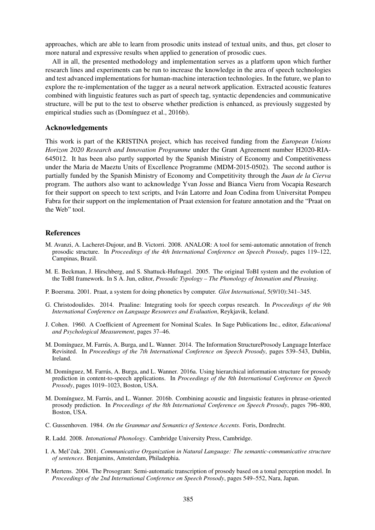approaches, which are able to learn from prosodic units instead of textual units, and thus, get closer to more natural and expressive results when applied to generation of prosodic cues.

All in all, the presented methodology and implementation serves as a platform upon which further research lines and experiments can be run to increase the knowledge in the area of speech technologies and test advanced implementations for human-machine interaction technologies. In the future, we plan to explore the re-implementation of the tagger as a neural network application. Extracted acoustic features combined with linguistic features such as part of speech tag, syntactic dependencies and communicative structure, will be put to the test to observe whether prediction is enhanced, as previously suggested by empirical studies such as (Domínguez et al., 2016b).

#### Acknowledgements

This work is part of the KRISTINA project, which has received funding from the *European Unions Horizon 2020 Research and Innovation Programme* under the Grant Agreement number H2020-RIA-645012. It has been also partly supported by the Spanish Ministry of Economy and Competitiveness under the Maria de Maeztu Units of Excellence Programme (MDM-2015-0502). The second author is partially funded by the Spanish Ministry of Economy and Competitivity through the *Juan de la Cierva* program. The authors also want to acknowledge Yvan Josse and Bianca Vieru from Vocapia Research for their support on speech to text scripts, and Iván Latorre and Joan Codina from Universitat Pompeu Fabra for their support on the implementation of Praat extension for feature annotation and the "Praat on the Web" tool.

#### References

- M. Avanzi, A. Lacheret-Dujour, and B. Victorri. 2008. ANALOR: A tool for semi-automatic annotation of french prosodic structure. In *Proceedings of the 4th International Conference on Speech Prosody*, pages 119–122, Campinas, Brazil.
- M. E. Beckman, J. Hirschberg, and S. Shattuck-Hufnagel. 2005. The original ToBI system and the evolution of the ToBI framework. In S A. Jun, editor, *Prosodic Typology – The Phonology of Intonation and Phrasing*.
- P. Boersma. 2001. Praat, a system for doing phonetics by computer. *Glot International*, 5(9/10):341–345.
- G. Christodoulides. 2014. Praaline: Integrating tools for speech corpus research. In *Proceedings of the 9th International Conference on Language Resources and Evaluation*, Reykjavik, Iceland.
- J. Cohen. 1960. A Coefficient of Agreement for Nominal Scales. In Sage Publications Inc., editor, *Educational and Psychological Measurement*, pages 37–46.
- M. Domínguez, M. Farrús, A. Burga, and L. Wanner. 2014. The Information StructureProsody Language Interface Revisited. In *Proceedings of the 7th International Conference on Speech Prosody*, pages 539–543, Dublin, Ireland.
- M. Domínguez, M. Farrús, A. Burga, and L. Wanner. 2016a. Using hierarchical information structure for prosody prediction in content-to-speech applications. In *Proceedings of the 8th International Conference on Speech Prosody*, pages 1019–1023, Boston, USA.
- M. Domínguez, M. Farrús, and L. Wanner. 2016b. Combining acoustic and linguistic features in phrase-oriented prosody prediction. In *Proceedings of the 8th International Conference on Speech Prosody*, pages 796–800, Boston, USA.
- C. Gussenhoven. 1984. *On the Grammar and Semantics of Sentence Accents*. Foris, Dordrecht.
- R. Ladd. 2008. *Intonational Phonology*. Cambridge University Press, Cambridge.
- I. A. Mel'čuk. 2001. Communicative Organization in Natural Language: The semantic-communicative structure *of sentences*. Benjamins, Amsterdam, Philadephia.
- P. Mertens. 2004. The Prosogram: Semi-automatic transcription of prosody based on a tonal perception model. In *Proceedings of the 2nd International Conference on Speech Prosody*, pages 549–552, Nara, Japan.